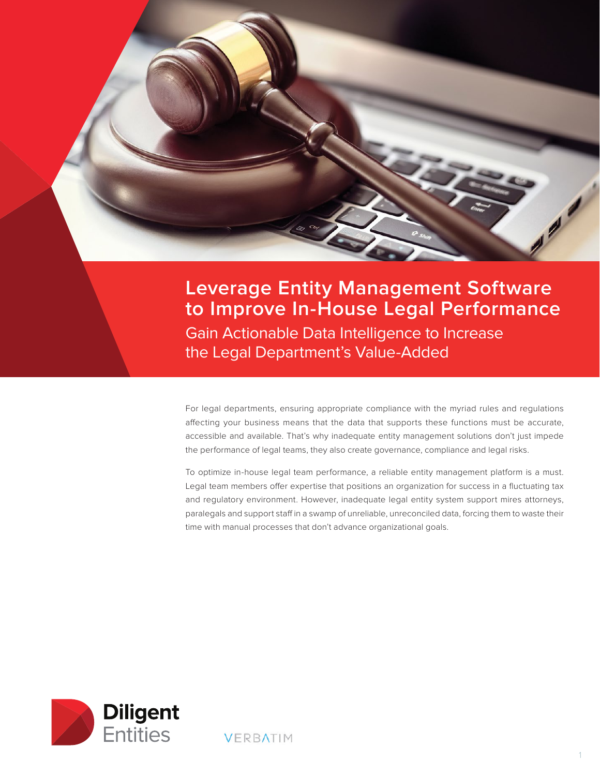

# **Leverage Entity Management Software to Improve In-House Legal Performance**

Gain Actionable Data Intelligence to Increase the Legal Department's Value-Added

For legal departments, ensuring appropriate compliance with the myriad rules and regulations affecting your business means that the data that supports these functions must be accurate, accessible and available. That's why inadequate entity management solutions don't just impede the performance of legal teams, they also create governance, compliance and legal risks.

To optimize in-house legal team performance, a reliable entity management platform is a must. Legal team members offer expertise that positions an organization for success in a fluctuating tax and regulatory environment. However, inadequate legal entity system support mires attorneys, paralegals and support staff in a swamp of unreliable, unreconciled data, forcing them to waste their time with manual processes that don't advance organizational goals.



**VERBATIM**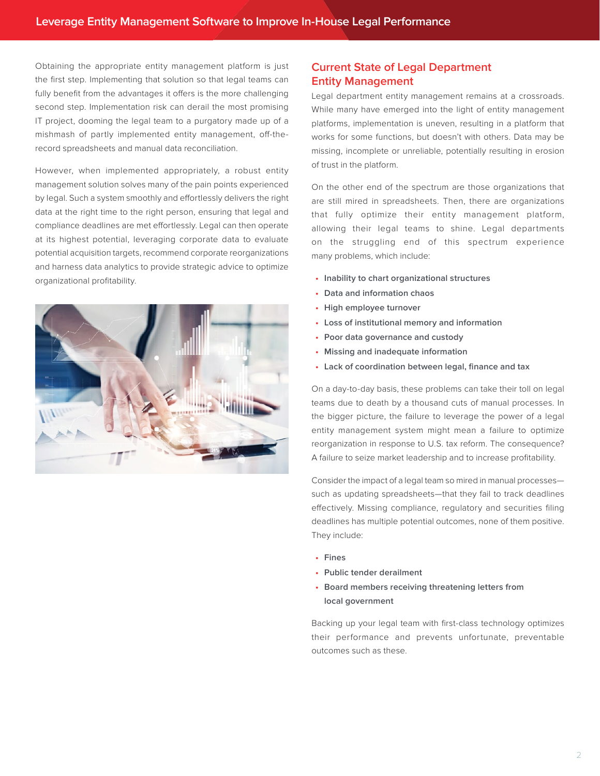Obtaining the appropriate entity management platform is just the first step. Implementing that solution so that legal teams can fully benefit from the advantages it offers is the more challenging second step. Implementation risk can derail the most promising IT project, dooming the legal team to a purgatory made up of a mishmash of partly implemented entity management, off-therecord spreadsheets and manual data reconciliation.

However, when implemented appropriately, a robust entity management solution solves many of the pain points experienced by legal. Such a system smoothly and effortlessly delivers the right data at the right time to the right person, ensuring that legal and compliance deadlines are met effortlessly. Legal can then operate at its highest potential, leveraging corporate data to evaluate potential acquisition targets, recommend corporate reorganizations and harness data analytics to provide strategic advice to optimize organizational profitability.



# **Current State of Legal Department Entity Management**

Legal department entity management remains at a crossroads. While many have emerged into the light of entity management platforms, implementation is uneven, resulting in a platform that works for some functions, but doesn't with others. Data may be missing, incomplete or unreliable, potentially resulting in erosion of trust in the platform.

On the other end of the spectrum are those organizations that are still mired in spreadsheets. Then, there are organizations that fully optimize their entity management platform, allowing their legal teams to shine. Legal departments on the struggling end of this spectrum experience many problems, which include:

- **• Inability to chart organizational structures**
- **• Data and information chaos**
- **• High employee turnover**
- **• Loss of institutional memory and information**
- **• Poor data governance and custody**
- **• Missing and inadequate information**
- **• Lack of coordination between legal, finance and tax**

On a day-to-day basis, these problems can take their toll on legal teams due to death by a thousand cuts of manual processes. In the bigger picture, the failure to leverage the power of a legal entity management system might mean a failure to optimize reorganization in response to U.S. tax reform. The consequence? A failure to seize market leadership and to increase profitability.

Consider the impact of a legal team so mired in manual processes such as updating spreadsheets—that they fail to track deadlines effectively. Missing compliance, regulatory and securities filing deadlines has multiple potential outcomes, none of them positive. They include:

- **• Fines**
- **• Public tender derailment**
- **• Board members receiving threatening letters from local government**

Backing up your legal team with first-class technology optimizes their performance and prevents unfortunate, preventable outcomes such as these.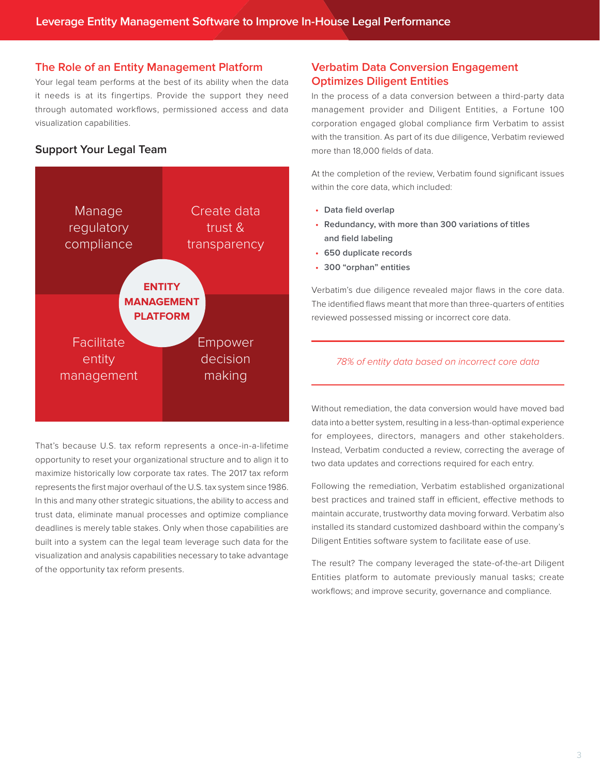## **The Role of an Entity Management Platform**

Your legal team performs at the best of its ability when the data it needs is at its fingertips. Provide the support they need through automated workflows, permissioned access and data visualization capabilities.

# **Support Your Legal Team**



That's because U.S. tax reform represents a once-in-a-lifetime opportunity to reset your organizational structure and to align it to maximize historically low corporate tax rates. The 2017 tax reform represents the first major overhaul of the U.S. tax system since 1986. In this and many other strategic situations, the ability to access and trust data, eliminate manual processes and optimize compliance deadlines is merely table stakes. Only when those capabilities are built into a system can the legal team leverage such data for the visualization and analysis capabilities necessary to take advantage of the opportunity tax reform presents.

# **Verbatim Data Conversion Engagement Optimizes Diligent Entities**

In the process of a data conversion between a third-party data management provider and Diligent Entities, a Fortune 100 corporation engaged global compliance firm Verbatim to assist with the transition. As part of its due diligence, Verbatim reviewed more than 18,000 fields of data.

At the completion of the review, Verbatim found significant issues within the core data, which included:

- **• Data field overlap**
- **• Redundancy, with more than 300 variations of titles and field labeling**
- **• 650 duplicate records**
- **• 300 "orphan" entities**

Verbatim's due diligence revealed major flaws in the core data. The identified flaws meant that more than three-quarters of entities reviewed possessed missing or incorrect core data.

#### 78% of entity data based on incorrect core data

Without remediation, the data conversion would have moved bad data into a better system, resulting in a less-than-optimal experience for employees, directors, managers and other stakeholders. Instead, Verbatim conducted a review, correcting the average of two data updates and corrections required for each entry.

Following the remediation, Verbatim established organizational best practices and trained staff in efficient, effective methods to maintain accurate, trustworthy data moving forward. Verbatim also installed its standard customized dashboard within the company's Diligent Entities software system to facilitate ease of use.

The result? The company leveraged the state-of-the-art Diligent Entities platform to automate previously manual tasks; create workflows; and improve security, governance and compliance.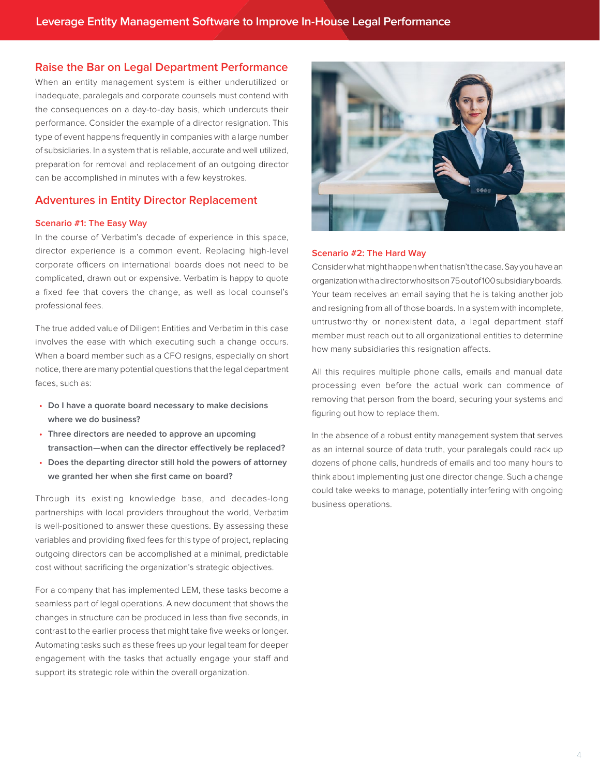## **Raise the Bar on Legal Department Performance**

When an entity management system is either underutilized or inadequate, paralegals and corporate counsels must contend with the consequences on a day-to-day basis, which undercuts their performance. Consider the example of a director resignation. This type of event happens frequently in companies with a large number of subsidiaries. In a system that is reliable, accurate and well utilized, preparation for removal and replacement of an outgoing director can be accomplished in minutes with a few keystrokes.

# **Adventures in Entity Director Replacement**

#### **Scenario #1: The Easy Way**

In the course of Verbatim's decade of experience in this space, director experience is a common event. Replacing high-level corporate officers on international boards does not need to be complicated, drawn out or expensive. Verbatim is happy to quote a fixed fee that covers the change, as well as local counsel's professional fees.

The true added value of Diligent Entities and Verbatim in this case involves the ease with which executing such a change occurs. When a board member such as a CFO resigns, especially on short notice, there are many potential questions that the legal department faces, such as:

- **• Do I have a quorate board necessary to make decisions where we do business?**
- **• Three directors are needed to approve an upcoming transaction—when can the director effectively be replaced?**
- **• Does the departing director still hold the powers of attorney we granted her when she first came on board?**

Through its existing knowledge base, and decades-long partnerships with local providers throughout the world, Verbatim is well-positioned to answer these questions. By assessing these variables and providing fixed fees for this type of project, replacing outgoing directors can be accomplished at a minimal, predictable cost without sacrificing the organization's strategic objectives.

For a company that has implemented LEM, these tasks become a seamless part of legal operations. A new document that shows the changes in structure can be produced in less than five seconds, in contrast to the earlier process that might take five weeks or longer. Automating tasks such as these frees up your legal team for deeper engagement with the tasks that actually engage your staff and support its strategic role within the overall organization.



#### **Scenario #2: The Hard Way**

Consider what might happen when that isn't the case. Say you have an organization with a director who sits on 75 out of 100 subsidiary boards. Your team receives an email saying that he is taking another job and resigning from all of those boards. In a system with incomplete, untrustworthy or nonexistent data, a legal department staff member must reach out to all organizational entities to determine how many subsidiaries this resignation affects.

All this requires multiple phone calls, emails and manual data processing even before the actual work can commence of removing that person from the board, securing your systems and figuring out how to replace them.

In the absence of a robust entity management system that serves as an internal source of data truth, your paralegals could rack up dozens of phone calls, hundreds of emails and too many hours to think about implementing just one director change. Such a change could take weeks to manage, potentially interfering with ongoing business operations.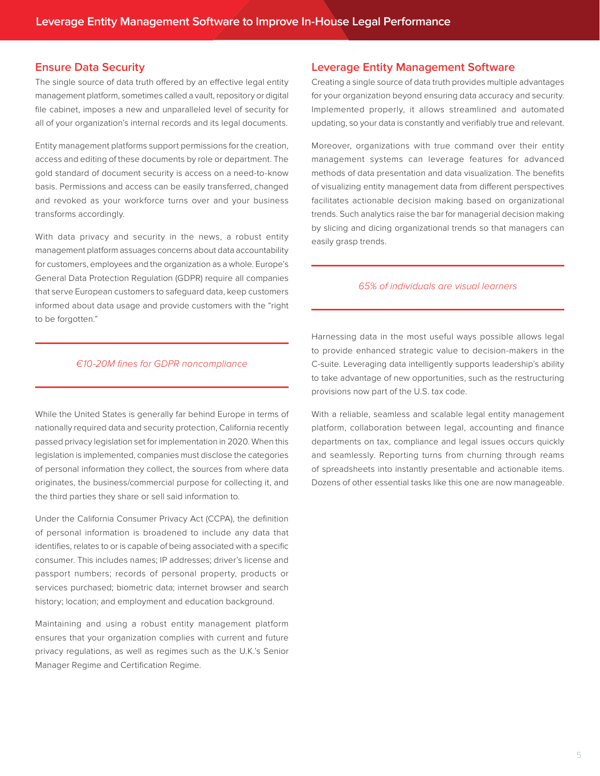# **Ensure Data Security**

The single source of data truth offered by an effective legal entity management platform, sometimes called a vault, repository or digital file cabinet, imposes a new and unparalleled level of security for all of your organization's internal records and its legal documents.

Entity management platforms support permissions for the creation, access and editing of these documents by role or department. The gold standard of document security is access on a need-to-know basis. Permissions and access can be easily transferred, changed and revoked as your workforce turns over and your business transforms accordingly.

With data privacy and security in the news, a robust entity management platform assuages concerns about data accountability for customers, employees and the organization as a whole. Europe's General Data Protection Regulation (GDPR) require all companies that serve European customers to safeguard data, keep customers informed about data usage and provide customers with the "right to be forgotten."

## **Leverage Entity Management Software**

Creating a single source of data truth provides multiple advantages for your organization beyond ensuring data accuracy and security. Implemented properly, it allows streamlined and automated updating, so your data is constantly and verifiably true and relevant.

Moreover, organizations with true command over their entity management systems can leverage features for advanced methods of data presentation and data visualization. The benefits of visualizing entity management data from different perspectives facilitates actionable decision making based on organizational trends. Such analytics raise the bar for managerial decision making by slicing and dicing organizational trends so that managers can easily grasp trends.

#### 65% of individuals are visual learners

#### €10-20M fines for GDPR noncompliance

While the United States is generally far behind Europe in terms of nationally required data and security protection, California recently passed privacy legislation set for implementation in 2020. When this legislation is implemented, companies must disclose the categories of personal information they collect, the sources from where data originates, the business/commercial purpose for collecting it, and the third parties they share or sell said information to.

Under the California Consumer Privacy Act (CCPA), the definition of personal information is broadened to include any data that identifies, relates to or is capable of being associated with a specific consumer. This includes names; IP addresses; driver's license and passport numbers; records of personal property, products or services purchased; biometric data; internet browser and search history; location; and employment and education background.

Maintaining and using a robust entity management platform ensures that your organization complies with current and future privacy regulations, as well as regimes such as the U.K.'s Senior Manager Regime and Certification Regime.

Harnessing data in the most useful ways possible allows legal to provide enhanced strategic value to decision-makers in the C-suite. Leveraging data intelligently supports leadership's ability to take advantage of new opportunities, such as the restructuring provisions now part of the U.S. tax code.

With a reliable, seamless and scalable legal entity management platform, collaboration between legal, accounting and finance departments on tax, compliance and legal issues occurs quickly and seamlessly. Reporting turns from churning through reams of spreadsheets into instantly presentable and actionable items. Dozens of other essential tasks like this one are now manageable.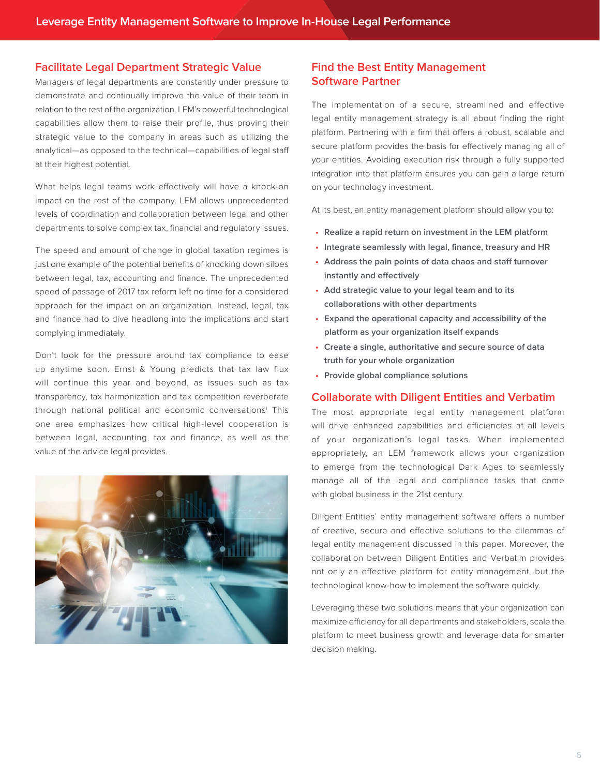### **Facilitate Legal Department Strategic Value**

Managers of legal departments are constantly under pressure to demonstrate and continually improve the value of their team in relation to the rest of the organization. LEM's powerful technological capabilities allow them to raise their profile, thus proving their strategic value to the company in areas such as utilizing the analytical—as opposed to the technical—capabilities of legal staff at their highest potential.

What helps legal teams work effectively will have a knock-on impact on the rest of the company. LEM allows unprecedented levels of coordination and collaboration between legal and other departments to solve complex tax, financial and regulatory issues.

The speed and amount of change in global taxation regimes is just one example of the potential benefits of knocking down siloes between legal, tax, accounting and finance. The unprecedented speed of passage of 2017 tax reform left no time for a considered approach for the impact on an organization. Instead, legal, tax and finance had to dive headlong into the implications and start complying immediately.

Don't look for the pressure around tax compliance to ease up anytime soon. Ernst & Young predicts that tax law flux will continue this year and beyond, as issues such as tax transparency, tax harmonization and tax competition reverberate through national political and economic conversationsi This one area emphasizes how critical high-level cooperation is between legal, accounting, tax and finance, as well as the value of the advice legal provides.



# **Find the Best Entity Management Software Partner**

The implementation of a secure, streamlined and effective legal entity management strategy is all about finding the right platform. Partnering with a firm that offers a robust, scalable and secure platform provides the basis for effectively managing all of your entities. Avoiding execution risk through a fully supported integration into that platform ensures you can gain a large return on your technology investment.

At its best, an entity management platform should allow you to:

- **• Realize a rapid return on investment in the LEM platform**
- **• Integrate seamlessly with legal, finance, treasury and HR**
- **• Address the pain points of data chaos and staff turnover instantly and effectively**
- **• Add strategic value to your legal team and to its collaborations with other departments**
- **• Expand the operational capacity and accessibility of the platform as your organization itself expands**
- **• Create a single, authoritative and secure source of data truth for your whole organization**
- **• Provide global compliance solutions**

#### **Collaborate with Diligent Entities and Verbatim**

The most appropriate legal entity management platform will drive enhanced capabilities and efficiencies at all levels of your organization's legal tasks. When implemented appropriately, an LEM framework allows your organization to emerge from the technological Dark Ages to seamlessly manage all of the legal and compliance tasks that come with global business in the 21st century.

Diligent Entities' entity management software offers a number of creative, secure and effective solutions to the dilemmas of legal entity management discussed in this paper. Moreover, the collaboration between Diligent Entities and Verbatim provides not only an effective platform for entity management, but the technological know-how to implement the software quickly.

Leveraging these two solutions means that your organization can maximize efficiency for all departments and stakeholders, scale the platform to meet business growth and leverage data for smarter decision making.